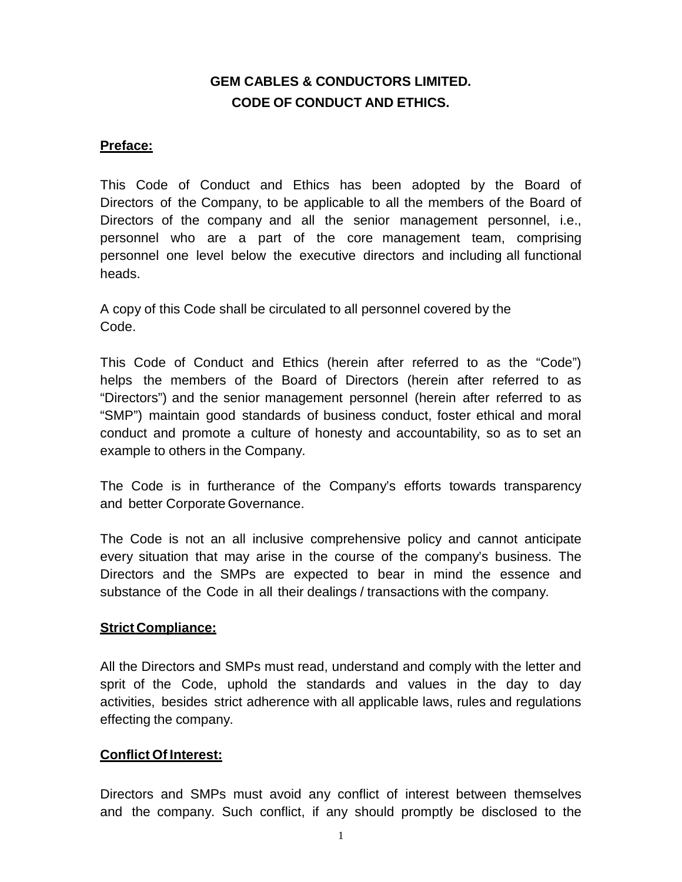# **GEM CABLES & CONDUCTORS LIMITED. CODE OF CONDUCT AND ETHICS.**

## **Preface:**

This Code of Conduct and Ethics has been adopted by the Board of Directors of the Company, to be applicable to all the members of the Board of Directors of the company and all the senior management personnel, i.e., personnel who are a part of the core management team, comprising personnel one level below the executive directors and including all functional heads.

A copy of this Code shall be circulated to all personnel covered by the Code.

This Code of Conduct and Ethics (herein after referred to as the "Code") helps the members of the Board of Directors (herein after referred to as "Directors") and the senior management personnel (herein after referred to as "SMP") maintain good standards of business conduct, foster ethical and moral conduct and promote a culture of honesty and accountability, so as to set an example to others in the Company.

The Code is in furtherance of the Company's efforts towards transparency and better Corporate Governance.

The Code is not an all inclusive comprehensive policy and cannot anticipate every situation that may arise in the course of the company's business. The Directors and the SMPs are expected to bear in mind the essence and substance of the Code in all their dealings / transactions with the company.

#### **Strict Compliance:**

All the Directors and SMPs must read, understand and comply with the letter and sprit of the Code, uphold the standards and values in the day to day activities, besides strict adherence with all applicable laws, rules and regulations effecting the company.

#### **Conflict Of Interest:**

Directors and SMPs must avoid any conflict of interest between themselves and the company. Such conflict, if any should promptly be disclosed to the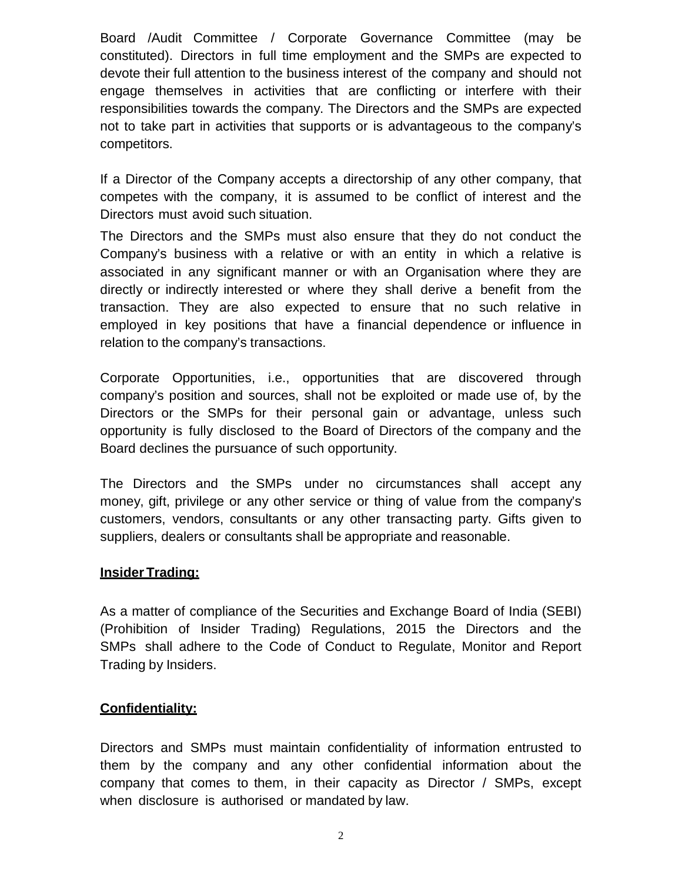Board /Audit Committee / Corporate Governance Committee (may be constituted). Directors in full time employment and the SMPs are expected to devote their full attention to the business interest of the company and should not engage themselves in activities that are conflicting or interfere with their responsibilities towards the company. The Directors and the SMPs are expected not to take part in activities that supports or is advantageous to the company's competitors.

If a Director of the Company accepts a directorship of any other company, that competes with the company, it is assumed to be conflict of interest and the Directors must avoid such situation.

The Directors and the SMPs must also ensure that they do not conduct the Company's business with a relative or with an entity in which a relative is associated in any significant manner or with an Organisation where they are directly or indirectly interested or where they shall derive a benefit from the transaction. They are also expected to ensure that no such relative in employed in key positions that have a financial dependence or influence in relation to the company's transactions.

Corporate Opportunities, i.e., opportunities that are discovered through company's position and sources, shall not be exploited or made use of, by the Directors or the SMPs for their personal gain or advantage, unless such opportunity is fully disclosed to the Board of Directors of the company and the Board declines the pursuance of such opportunity.

The Directors and the SMPs under no circumstances shall accept any money, gift, privilege or any other service or thing of value from the company's customers, vendors, consultants or any other transacting party. Gifts given to suppliers, dealers or consultants shall be appropriate and reasonable.

## **Insider Trading:**

As a matter of compliance of the Securities and Exchange Board of India (SEBI) (Prohibition of Insider Trading) Regulations, 2015 the Directors and the SMPs shall adhere to the Code of Conduct to Regulate, Monitor and Report Trading by Insiders.

#### **Confidentiality:**

Directors and SMPs must maintain confidentiality of information entrusted to them by the company and any other confidential information about the company that comes to them, in their capacity as Director / SMPs, except when disclosure is authorised or mandated by law.